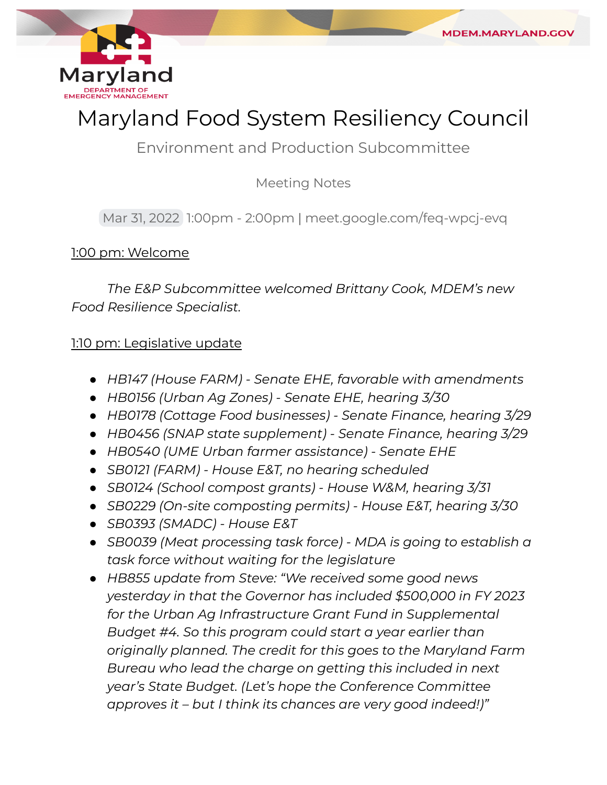

# Maryland Food System Resiliency Council

Environment and Production Subcommittee

Meeting Notes

Mar 31, 2022 1:00pm - 2:00pm | [meet.google.com/feq-wpcj-evq](https://meet.google.com/feq-wpcj-evq)

## 1:00 pm: Welcome

 *The E&P Subcommittee welcomed Brittany Cook, MDEM's new Food Resilience Specialist.*

### 1:10 pm: Legislative update

- *● HB147 (House FARM) Senate EHE, favorable with amendments*
- *● HB0156 (Urban Ag Zones) Senate EHE, hearing 3/30*
- *● HB0178 (Cottage Food businesses) Senate Finance, hearing 3/29*
- *● HB0456 (SNAP state supplement) Senate Finance, hearing 3/29*
- *● HB0540 (UME Urban farmer assistance) Senate EHE*
- *● SB0121 (FARM) House E&T, no hearing scheduled*
- *● SB0124 (School compost grants) House W&M, hearing 3/31*
- *● SB0229 (On-site composting permits) House E&T, hearing 3/30*
- *● SB0393 (SMADC) House E&T*
- *● SB0039 (Meat processing task force) MDA is going to establish a task force without waiting for the legislature*
- *● HB855 update from Steve: "We received some good news yesterday in that the Governor has included \$500,000 in FY 2023 for the Urban Ag Infrastructure Grant Fund in Supplemental Budget #4. So this program could start a year earlier than originally planned. The credit for this goes to the Maryland Farm Bureau who lead the charge on getting this included in next year's State Budget. (Let's hope the Conference Committee approves it – but I think its chances are very good indeed!)"*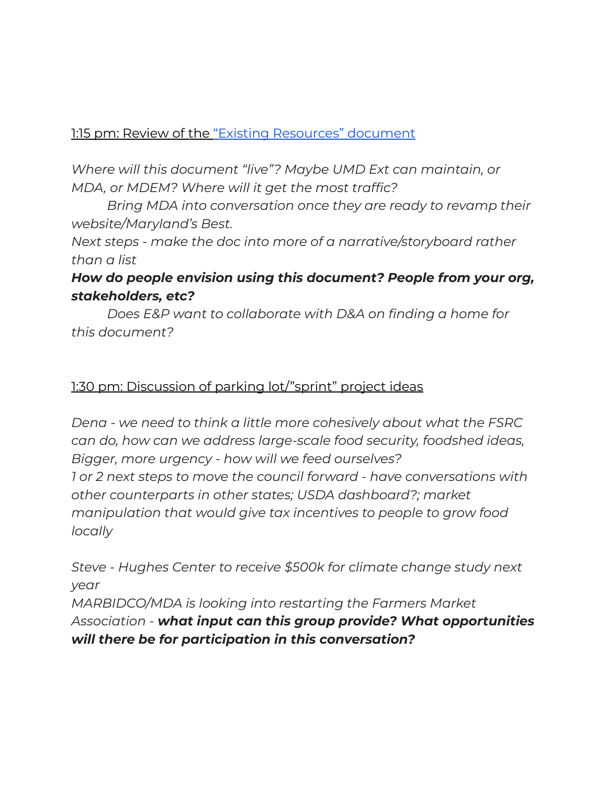## 1:15 pm: Review of the ["Existing Resources" document](https://docs.google.com/document/d/1msJHRl3h8W1mCQ_WioyzAN4Q1K2GuPE-UoZb1iB7ibg/edit?usp=sharing)

 *Where will this document "live"? Maybe UMD Ext can maintain, or MDA, or MDEM? Where will it get the most traffic?*

 *Bring MDA into conversation once they are ready to revamp their website/Maryland's Best.*

 *Next steps - make the doc into more of a narrative/storyboard rather than a list*

# *How do people envision using this document? People from your org, stakeholders, etc?*

 *Does E&P want to collaborate with D&A on finding a home for this document?*

### 1:30 pm: Discussion of parking lot/"sprint" project ideas

 *Dena - we need to think a little more cohesively about what the FSRC can do, how can we address large-scale food security, foodshed ideas, Bigger, more urgency - how will we feed ourselves? 1 or 2 next steps to move the council forward - have conversations with other counterparts in other states; USDA dashboard?; market manipulation that would give tax incentives to people to grow food locally*

 *Steve - Hughes Center to receive \$500k for climate change study next MARBIDCO/MDA is looking into restarting the Farmers Market Association - what input can this group provide? What opportunities will there be for participation in this conversation?year*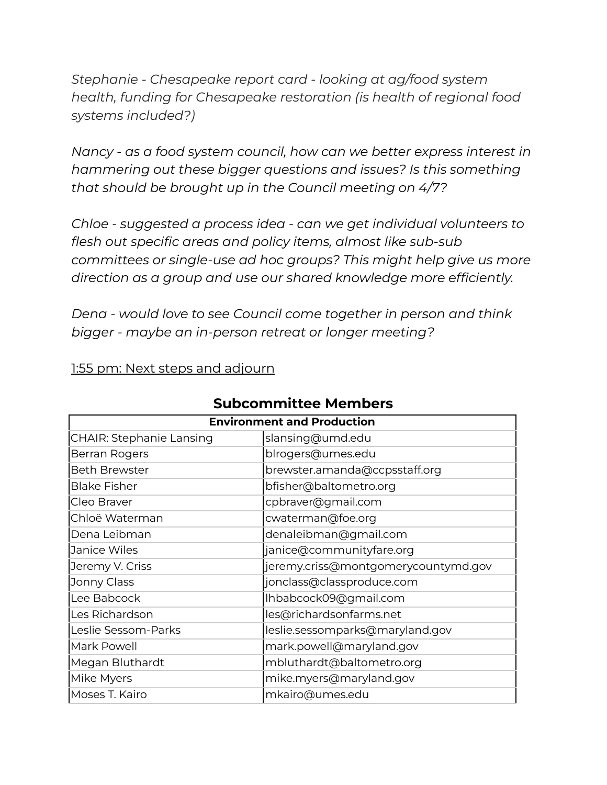*Stephanie - Chesapeake report card - looking at ag/food system health, funding for Chesapeake restoration (is health of regional food systems included?)*

 *Nancy - as a food system council, how can we better express interest in hammering out these bigger questions and issues? Is this something that should be brought up in the Council meeting on 4/7?*

 *Chloe - suggested a process idea - can we get individual volunteers to flesh out specific areas and policy items, almost like sub-sub committees or single-use ad hoc groups? This might help give us more direction as a group and use our shared knowledge more efficiently.*

 *Dena - would love to see Council come together in person and think bigger - maybe an in-person retreat or longer meeting?*

1:55 pm: Next steps and adjourn

| <b>Environment and Production</b> |                                     |
|-----------------------------------|-------------------------------------|
| <b>CHAIR: Stephanie Lansing</b>   | slansing@umd.edu                    |
| Berran Rogers                     | blrogers@umes.edu                   |
| <b>Beth Brewster</b>              | brewster.amanda@ccpsstaff.org       |
| <b>Blake Fisher</b>               | bfisher@baltometro.org              |
| Cleo Braver                       | cpbraver@gmail.com                  |
| Chloë Waterman                    | cwaterman@foe.org                   |
| Dena Leibman                      | denaleibman@gmail.com               |
| Janice Wiles                      | janice@communityfare.org            |
| Jeremy V. Criss                   | jeremy.criss@montgomerycountymd.gov |
| Jonny Class                       | jonclass@classproduce.com           |
| Lee Babcock                       | Ihbabcock09@gmail.com               |
| Les Richardson                    | les@richardsonfarms.net             |
| Leslie Sessom-Parks               | leslie.sessomparks@maryland.gov     |
| Mark Powell                       | mark.powell@maryland.gov            |
| Megan Bluthardt                   | mbluthardt@baltometro.org           |
| Mike Myers                        | mike.myers@maryland.gov             |
| Moses T. Kairo                    | mkairo@umes.edu                     |

# **Subcommittee Members**